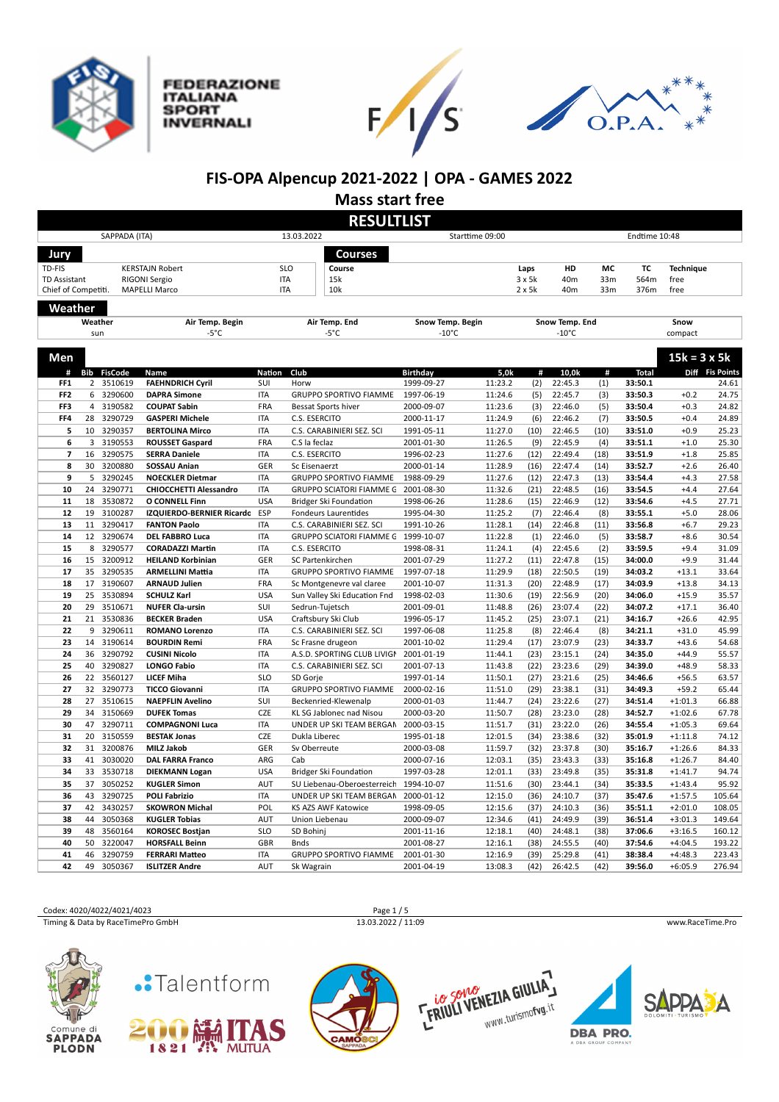

**FEDERAZIONE ITALIANA SPORT INVERNALI** 





## **FIS-OPA Alpencup 2021-2022 | OPA - GAMES 2022**

**Mass start free**

|                     |                |                    |                                               |            |                                                  | <b>RESULTLIST</b>                   |                    |               |                                   |                 |                    |                        |                 |
|---------------------|----------------|--------------------|-----------------------------------------------|------------|--------------------------------------------------|-------------------------------------|--------------------|---------------|-----------------------------------|-----------------|--------------------|------------------------|-----------------|
|                     |                | SAPPADA (ITA)      |                                               |            | 13.03.2022                                       |                                     | Starttime 09:00    |               |                                   |                 | Endtime 10:48      |                        |                 |
| Jury                |                |                    |                                               |            | <b>Courses</b>                                   |                                     |                    |               |                                   |                 |                    |                        |                 |
| TD-FIS              |                |                    | <b>KERSTAJN Robert</b>                        |            | <b>SLO</b><br>Course                             |                                     |                    | Laps          | HD                                | МC              | TC                 | <b>Technique</b>       |                 |
| <b>TD Assistant</b> |                |                    | RIGONI Sergio                                 | <b>ITA</b> | 15k                                              |                                     |                    | 3x5k          | 40m                               | 33m             | 564m               | free                   |                 |
| Chief of Competiti. |                |                    | <b>MAPELLI Marco</b>                          | <b>ITA</b> | 10k                                              |                                     |                    | $2 \times 5k$ | 40 <sub>m</sub>                   | 33 <sub>m</sub> | 376m               | free                   |                 |
|                     |                |                    |                                               |            |                                                  |                                     |                    |               |                                   |                 |                    |                        |                 |
| Weather             |                |                    |                                               |            |                                                  |                                     |                    |               |                                   |                 |                    |                        |                 |
|                     | Weather<br>sun |                    | Air Temp. Begin<br>$-5^{\circ}$ C             |            | Air Temp. End<br>$-5^{\circ}$ C                  | Snow Temp. Begin<br>$-10^{\circ}$ C |                    |               | Snow Temp. End<br>$-10^{\circ}$ C |                 |                    | Snow<br>compact        |                 |
|                     |                |                    |                                               |            |                                                  |                                     |                    |               |                                   |                 |                    |                        |                 |
| Men                 |                |                    |                                               |            |                                                  |                                     |                    |               |                                   |                 |                    | $15k = 3 \times 5k$    |                 |
| #                   | Bib            | <b>FisCode</b>     | Name                                          | Nation     | Club                                             | <b>Birthday</b>                     | 5,0k               | #             | 10,0k                             | #               | Total              |                        | Diff Fis Points |
| FF <sub>1</sub>     |                | 2 3510619          | <b>FAEHNDRICH Cyril</b>                       | SUI        | Horw                                             | 1999-09-27                          | 11:23.2            | (2)           | 22:45.3                           | (1)             | 33:50.1            |                        | 24.61           |
| FF <sub>2</sub>     |                | 6 3290600          | <b>DAPRA Simone</b>                           | <b>ITA</b> | <b>GRUPPO SPORTIVO FIAMME</b>                    | 1997-06-19                          | 11:24.6            | (5)           | 22:45.7                           | (3)             | 33:50.3            | $+0.2$                 | 24.75           |
| FF3                 | $\overline{4}$ | 3190582            | <b>COUPAT Sabin</b>                           | FRA        | <b>Bessat Sports hiver</b>                       | 2000-09-07                          | 11:23.6            | (3)           | 22:46.0                           | (5)             | 33:50.4            | $+0.3$                 | 24.82           |
| FF4                 | 28             | 3290729            | <b>GASPERI Michele</b>                        | <b>ITA</b> | C.S. ESERCITO                                    | 2000-11-17                          | 11:24.9            | (6)           | 22:46.2                           | (7)             | 33:50.5            | $+0.4$                 | 24.89           |
| 5                   | 10             | 3290357            | <b>BERTOLINA Mirco</b>                        | <b>ITA</b> | C.S. CARABINIERI SEZ. SCI                        | 1991-05-11                          | 11:27.0            | (10)          | 22:46.5                           | (10)            | 33:51.0            | $+0.9$                 | 25.23           |
| 6                   | 3              | 3190553            | <b>ROUSSET Gaspard</b>                        | FRA        | C.S la feclaz                                    | 2001-01-30                          | 11:26.5            | (9)           | 22:45.9                           | (4)             | 33:51.1            | $+1.0$                 | 25.30           |
| $\overline{7}$      | 16             | 3290575            | <b>SERRA Daniele</b>                          | <b>ITA</b> | C.S. ESERCITO                                    | 1996-02-23                          | 11:27.6            | (12)          | 22:49.4                           | (18)            | 33:51.9            | $+1.8$                 | 25.85           |
| 8                   | 30             | 3200880            | <b>SOSSAU Anian</b>                           | GER        | Sc Eisenaerzt                                    | 2000-01-14                          | 11:28.9            | (16)          | 22:47.4                           | (14)            | 33:52.7            | $+2.6$                 | 26.40           |
| 9                   | 5              | 3290245            | <b>NOECKLER Dietmar</b>                       | <b>ITA</b> | <b>GRUPPO SPORTIVO FIAMME</b>                    | 1988-09-29                          | 11:27.6            | (12)          | 22:47.3                           | (13)            | 33:54.4            | $+4.3$                 | 27.58           |
| 10                  | 24             | 3290771            | <b>CHIOCCHETTI Alessandro</b>                 | <b>ITA</b> | <b>GRUPPO SCIATORI FIAMME G</b>                  | 2001-08-30                          | 11:32.6            | (21)          | 22:48.5                           | (16)            | 33:54.5            | $+4.4$                 | 27.64           |
| 11                  | 18             | 3530872            | <b>O CONNELL Finn</b>                         | <b>USA</b> | Bridger Ski Foundation                           | 1998-06-26                          | 11:28.6            | (15)          | 22:46.9                           | (12)            | 33:54.6            | $+4.5$                 | 27.71           |
| 12                  | 19             | 3100287            | IZQUIERDO-BERNIER Ricardo ESP                 |            | Fondeurs Laurentides                             | 1995-04-30                          | 11:25.2            | (7)           | 22:46.4                           | (8)             | 33:55.1            | $+5.0$                 | 28.06           |
| 13                  | 11             | 3290417            | <b>FANTON Paolo</b>                           | <b>ITA</b> | C.S. CARABINIERI SEZ. SCI                        | 1991-10-26                          | 11:28.1            | (14)          | 22:46.8                           | (11)            | 33:56.8            | $+6.7$                 | 29.23           |
| 14                  |                | 12 3290674         | <b>DEL FABBRO Luca</b>                        | <b>ITA</b> | GRUPPO SCIATORI FIAMME G 1999-10-07              |                                     | 11:22.8            | (1)           | 22:46.0                           | (5)             | 33:58.7            | $+8.6$                 | 30.54           |
| 15                  | 8              | 3290577            | <b>CORADAZZI Martin</b>                       | <b>ITA</b> | C.S. ESERCITO                                    | 1998-08-31                          | 11:24.1            | (4)           | 22:45.6                           | (2)             | 33:59.5            | $+9.4$                 | 31.09           |
| 16                  | 15             | 3200912            | <b>HEILAND Korbinian</b>                      | GER        | SC Partenkirchen                                 | 2001-07-29                          | 11:27.2            | (11)          | 22:47.8                           | (15)            | 34:00.0            | $+9.9$                 | 31.44           |
| 17                  | 35             | 3290535            | <b>ARMELLINI Mattia</b>                       | <b>ITA</b> | <b>GRUPPO SPORTIVO FIAMME</b>                    | 1997-07-18                          | 11:29.9            | (18)          | 22:50.5                           | (19)            | 34:03.2            | $+13.1$                | 33.64           |
| 18                  | 17             | 3190607            | <b>ARNAUD Julien</b>                          | FRA        | Sc Montgenevre val claree                        | 2001-10-07                          | 11:31.3            | (20)          | 22:48.9                           | (17)            | 34:03.9            | $+13.8$                | 34.13           |
| 19                  | 25             | 3530894            | <b>SCHULZ Karl</b>                            | <b>USA</b> | Sun Valley Ski Education Fnd                     | 1998-02-03                          | 11:30.6            | (19)          | 22:56.9                           | (20)            | 34:06.0            | $+15.9$                | 35.57           |
| 20                  | 29             | 3510671            | <b>NUFER Cla-ursin</b>                        | SUI        | Sedrun-Tujetsch                                  | 2001-09-01                          | 11:48.8            | (26)          | 23:07.4                           | (22)            | 34:07.2            | $+17.1$                | 36.40           |
| 21                  | 21             | 3530836            | <b>BECKER Braden</b>                          | <b>USA</b> | Craftsbury Ski Club                              | 1996-05-17                          | 11:45.2            | (25)          | 23:07.1                           | (21)            | 34:16.7            | $+26.6$                | 42.95           |
| 22                  | 9              | 3290611            | <b>ROMANO Lorenzo</b>                         | <b>ITA</b> | C.S. CARABINIERI SEZ. SCI                        | 1997-06-08                          | 11:25.8            | (8)           | 22:46.4                           | (8)             | 34:21.1            | $+31.0$                | 45.99           |
| 23                  | 14             | 3190614            | <b>BOURDIN Remi</b>                           | FRA        | Sc Frasne drugeon                                | 2001-10-02                          | 11:29.4            | (17)          | 23:07.9                           | (23)            | 34:33.7            | $+43.6$                | 54.68           |
| 24                  | 36             | 3290792            | <b>CUSINI Nicolo</b>                          | <b>ITA</b> | A.S.D. SPORTING CLUB LIVIGN                      | 2001-01-19                          | 11:44.1            | (23)          | 23:15.1                           | (24)            | 34:35.0            | $+44.9$                | 55.57           |
| 25                  | 40             | 3290827            | <b>LONGO Fabio</b>                            | <b>ITA</b> | C.S. CARABINIERI SEZ. SCI                        | 2001-07-13                          | 11:43.8            | (22)          | 23:23.6                           | (29)            | 34:39.0            | $+48.9$                | 58.33           |
| 26                  |                | 22 3560127         | <b>LICEF Miha</b>                             | <b>SLO</b> | SD Gorje                                         | 1997-01-14                          | 11:50.1            | (27)          | 23:21.6                           | (25)            | 34:46.6            | $+56.5$                | 63.57           |
| 27                  | 32             | 3290773            | <b>TICCO Giovanni</b>                         | <b>ITA</b> | GRUPPO SPORTIVO FIAMME                           | 2000-02-16                          | 11:51.0            | (29)          | 23:38.1                           | (31)            | 34:49.3            | $+59.2$                | 65.44           |
| 28<br>29            | 27<br>34       | 3510615<br>3150669 | <b>NAEPFLIN Avelino</b><br><b>DUFEK Tomas</b> | SUI<br>CZE | Beckenried-Klewenalp<br>KL SG Jablonec nad Nisou | 2000-01-03<br>2000-03-20            | 11:44.7<br>11:50.7 | (24)<br>(28)  | 23:22.6<br>23:23.0                | (27)            | 34:51.4<br>34:52.7 | $+1:01.3$<br>$+1:02.6$ | 66.88<br>67.78  |
| 30                  | 47             | 3290711            | <b>COMPAGNONI Luca</b>                        | <b>ITA</b> | UNDER UP SKI TEAM BERGAN                         | 2000-03-15                          | 11:51.7            | (31)          | 23:22.0                           | (28)<br>(26)    | 34:55.4            | $+1:05.3$              | 69.64           |
| 31                  | 20             | 3150559            | <b>BESTAK Jonas</b>                           | CZE        | Dukla Liberec                                    | 1995-01-18                          | 12:01.5            | (34)          | 23:38.6                           | (32)            | 35:01.9            | $+1:11.8$              | 74.12           |
| 32                  | 31             | 3200876            | <b>MILZ Jakob</b>                             | GER        | Sv Oberreute                                     | 2000-03-08                          | 11:59.7            | (32)          | 23:37.8                           | (30)            | 35:16.7            | $+1:26.6$              | 84.33           |
| 33                  | 41             | 3030020            | <b>DAL FARRA Franco</b>                       | ARG        | Cab                                              | 2000-07-16                          | 12:03.1            | (35)          | 23:43.3                           | (33)            | 35:16.8            | $+1:26.7$              | 84.40           |
| 34                  | 33             | 3530718            | <b>DIEKMANN Logan</b>                         | <b>USA</b> | <b>Bridger Ski Foundation</b>                    | 1997-03-28                          | 12:01.1            | (33)          | 23:49.8                           | (35)            | 35:31.8            | $+1:41.7$              | 94.74           |
| 35                  | 37             | 3050252            | <b>KUGLER Simon</b>                           | <b>AUT</b> | SU Liebenau-Oberoesterreich                      | 1994-10-07                          | 11:51.6            | (30)          | 23:44.1                           | (34)            | 35:33.5            | $+1:43.4$              | 95.92           |
| 36                  | 43             | 3290725            | <b>POLI Fabrizio</b>                          | <b>ITA</b> | UNDER UP SKI TEAM BERGAN                         | 2000-01-12                          | 12:15.0            | (36)          | 24:10.7                           | (37)            | 35:47.6            | $+1:57.5$              | 105.64          |
| 37                  | 42             | 3430257            | <b>SKOWRON Michal</b>                         | POL        | KS AZS AWF Katowice                              | 1998-09-05                          | 12:15.6            | (37)          | 24:10.3                           | (36)            | 35:51.1            | $+2:01.0$              | 108.05          |
| 38                  | 44             | 3050368            | <b>KUGLER Tobias</b>                          | <b>AUT</b> | Union Liebenau                                   | 2000-09-07                          | 12:34.6            | (41)          | 24:49.9                           | (39)            | 36:51.4            | $+3:01.3$              | 149.64          |
| 39                  | 48             | 3560164            | <b>KOROSEC Bostjan</b>                        | <b>SLO</b> | SD Bohinj                                        | 2001-11-16                          | 12:18.1            | (40)          | 24:48.1                           | (38)            | 37:06.6            | $+3:16.5$              | 160.12          |
| 40                  | 50             | 3220047            | <b>HORSFALL Beinn</b>                         | GBR        | <b>Bnds</b>                                      | 2001-08-27                          | 12:16.1            | (38)          | 24:55.5                           | (40)            | 37:54.6            | $+4:04.5$              | 193.22          |
| 41                  | 46             | 3290759            | <b>FERRARI Matteo</b>                         | <b>ITA</b> | <b>GRUPPO SPORTIVO FIAMME</b>                    | 2001-01-30                          | 12:16.9            | (39)          | 25:29.8                           | (41)            | 38:38.4            | $+4:48.3$              | 223.43          |
| 42                  | 49             | 3050367            | <b>ISLITZER Andre</b>                         | AUT        | Sk Wagrain                                       | 2001-04-19                          | 13:08.3            | (42)          | 26:42.5                           | (42)            | 39:56.0            | $+6:05.9$              | 276.94          |
|                     |                |                    |                                               |            |                                                  |                                     |                    |               |                                   |                 |                    |                        |                 |

### Codex: 4020/4022/4021/4023 Page 1 / 5<br>
Timing & Data by RaceTimePro GmbH 13.03.2022 / 11:09 Timing & Data by RaceTimePro GmbH 13.03.2022 / 11:09 www.RaceTime.Pro













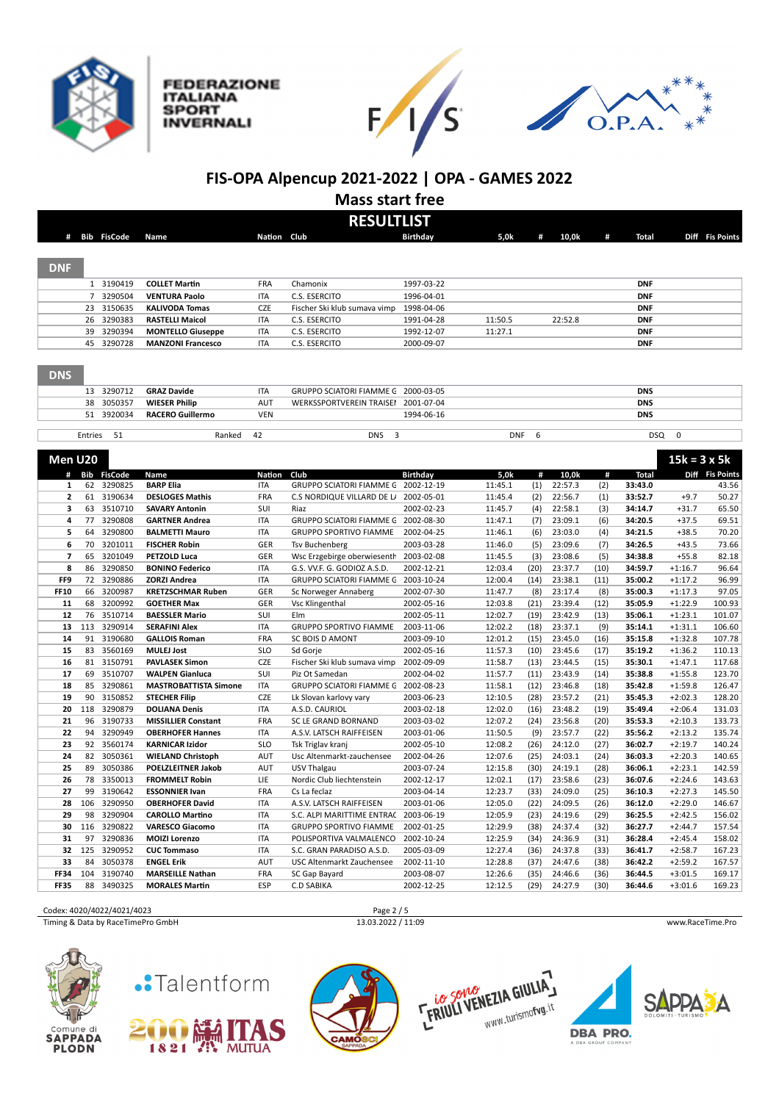







## **FIS-OPA Alpencup 2021-2022 | OPA - GAMES 2022**

**Mass start free**

|                | <b>RESULTLIST</b> |                |                              |               |                                     |                 |            |      |         |      |              |                     |                 |
|----------------|-------------------|----------------|------------------------------|---------------|-------------------------------------|-----------------|------------|------|---------|------|--------------|---------------------|-----------------|
|                |                   | # Bib FisCode  | Name                         | Nation Club   |                                     | Birthdav        | 5,0k       | #    | 10,0k   | #    | Total        |                     | Diff Fis Points |
|                |                   |                |                              |               |                                     |                 |            |      |         |      |              |                     |                 |
|                |                   |                |                              |               |                                     |                 |            |      |         |      |              |                     |                 |
| <b>DNF</b>     |                   |                |                              |               |                                     |                 |            |      |         |      |              |                     |                 |
|                |                   | 1 3190419      | <b>COLLET Martin</b>         | FRA           | Chamonix                            | 1997-03-22      |            |      |         |      | <b>DNF</b>   |                     |                 |
|                | 7                 | 3290504        | <b>VENTURA Paolo</b>         | <b>ITA</b>    | C.S. ESERCITO                       | 1996-04-01      |            |      |         |      | <b>DNF</b>   |                     |                 |
|                | 23                | 3150635        | <b>KALIVODA Tomas</b>        | CZE           | Fischer Ski klub sumava vimp        | 1998-04-06      |            |      |         |      | <b>DNF</b>   |                     |                 |
|                | 26                | 3290383        | <b>RASTELLI Maicol</b>       | <b>ITA</b>    | C.S. ESERCITO                       | 1991-04-28      | 11:50.5    |      | 22:52.8 |      | <b>DNF</b>   |                     |                 |
|                | 39                | 3290394        | <b>MONTELLO Giuseppe</b>     | <b>ITA</b>    | C.S. ESERCITO                       | 1992-12-07      | 11:27.1    |      |         |      | <b>DNF</b>   |                     |                 |
|                | 45                | 3290728        | <b>MANZONI Francesco</b>     | <b>ITA</b>    | C.S. ESERCITO                       | 2000-09-07      |            |      |         |      | <b>DNF</b>   |                     |                 |
|                |                   |                |                              |               |                                     |                 |            |      |         |      |              |                     |                 |
| <b>DNS</b>     |                   |                |                              |               |                                     |                 |            |      |         |      |              |                     |                 |
|                |                   |                |                              |               |                                     |                 |            |      |         |      |              |                     |                 |
|                | 13                | 3290712        | <b>GRAZ Davide</b>           | <b>ITA</b>    | GRUPPO SCIATORI FIAMME G 2000-03-05 |                 |            |      |         |      | <b>DNS</b>   |                     |                 |
|                | 38                | 3050357        | <b>WIESER Philip</b>         | <b>AUT</b>    | WERKSSPORTVEREIN TRAISEI            | 2001-07-04      |            |      |         |      | <b>DNS</b>   |                     |                 |
|                | 51                | 3920034        | <b>RACERO Guillermo</b>      | VEN           |                                     | 1994-06-16      |            |      |         |      | <b>DNS</b>   |                     |                 |
|                | Entries           | 51             | Ranked                       | 42            | 3<br><b>DNS</b>                     |                 | <b>DNF</b> | 6    |         |      | <b>DSQ</b>   | 0                   |                 |
|                |                   |                |                              |               |                                     |                 |            |      |         |      |              |                     |                 |
| Men U20        |                   |                |                              |               |                                     |                 |            |      |         |      |              | $15k = 3 \times 5k$ |                 |
| #              | Bib               | <b>FisCode</b> | Name                         | <b>Nation</b> | Club                                | <b>Birthday</b> | 5,0k       | #    | 10,0k   | #    | <b>Total</b> |                     | Diff Fis Points |
| $\mathbf{1}$   | 62                | 3290825        | <b>BARP Elia</b>             | <b>ITA</b>    | GRUPPO SCIATORI FIAMME G            | 2002-12-19      | 11:45.1    | (1)  | 22:57.3 | (2)  | 33:43.0      |                     | 43.56           |
| $\overline{2}$ | 61                | 3190634        | <b>DESLOGES Mathis</b>       | FRA           | C.S NORDIQUE VILLARD DE L/          | 2002-05-01      | 11:45.4    | (2)  | 22:56.7 | (1)  | 33:52.7      | $+9.7$              | 50.27           |
| з              | 63                | 3510710        | <b>SAVARY Antonin</b>        | SUI           | Riaz                                | 2002-02-23      | 11:45.7    | (4)  | 22:58.1 | (3)  | 34:14.7      | $+31.7$             | 65.50           |
| 4              | 77                | 3290808        | <b>GARTNER Andrea</b>        | <b>ITA</b>    | GRUPPO SCIATORI FIAMME G 2002-08-30 |                 | 11:47.1    | (7)  | 23:09.1 | (6)  | 34:20.5      | $+37.5$             | 69.51           |
| 5              | 64                | 3290800        | <b>BALMETTI Mauro</b>        | <b>ITA</b>    | <b>GRUPPO SPORTIVO FIAMME</b>       | 2002-04-25      | 11:46.1    | (6)  | 23:03.0 | (4)  | 34:21.5      | $+38.5$             | 70.20           |
| 6              | 70                | 3201011        | <b>FISCHER Robin</b>         | GER           | <b>Tsv Buchenberg</b>               | 2003-03-28      | 11:46.0    | (5)  | 23:09.6 | (7)  | 34:26.5      | $+43.5$             | 73.66           |
| 7              | 65                | 3201049        | PETZOLD Luca                 | GER           | Wsc Erzgebirge oberwiesenth         | 2003-02-08      | 11:45.5    | (3)  | 23:08.6 | (5)  | 34:38.8      | $+55.8$             | 82.18           |
| 8              | 86                | 3290850        | <b>BONINO Federico</b>       | <b>ITA</b>    | G.S. VV.F. G. GODIOZ A.S.D.         | 2002-12-21      | 12:03.4    | (20) | 23:37.7 | (10) | 34:59.7      | $+1:16.7$           | 96.64           |
| FF9            | 72                | 3290886        | <b>ZORZI Andrea</b>          | <b>ITA</b>    | GRUPPO SCIATORI FIAMME G 2003-10-24 |                 | 12:00.4    | (14) | 23:38.1 | (11) | 35:00.2      | $+1:17.2$           | 96.99           |
| <b>FF10</b>    | 66                | 3200987        | <b>KRETZSCHMAR Ruben</b>     | GER           | Sc Norweger Annaberg                | 2002-07-30      | 11:47.7    | (8)  | 23:17.4 | (8)  | 35:00.3      | $+1:17.3$           | 97.05           |
| 11             | 68                | 3200992        | <b>GOETHER Max</b>           | GER           | Vsc Klingenthal                     | 2002-05-16      | 12:03.8    | (21) | 23:39.4 | (12) | 35:05.9      | $+1:22.9$           | 100.93          |
| 12             | 76                | 3510714        | <b>BAESSLER Mario</b>        | SUI           | Elm                                 | 2002-05-11      | 12:02.7    | (19) | 23:42.9 | (13) | 35:06.1      | $+1:23.1$           | 101.07          |
| 13             | 113               | 3290914        | <b>SERAFINI Alex</b>         | <b>ITA</b>    | <b>GRUPPO SPORTIVO FIAMME</b>       | 2003-11-06      | 12:02.2    | (18) | 23:37.1 | (9)  | 35:14.1      | $+1:31.1$           | 106.60          |
| 14             | 91                | 3190680        | <b>GALLOIS Roman</b>         | FRA           | SC BOIS D AMONT                     | 2003-09-10      | 12:01.2    | (15) | 23:45.0 | (16) | 35:15.8      | $+1:32.8$           | 107.78          |
| 15             | 83                | 3560169        | <b>MULEJ Jost</b>            | <b>SLO</b>    | Sd Gorje                            | 2002-05-16      | 11:57.3    | (10) | 23:45.6 | (17) | 35:19.2      | $+1:36.2$           | 110.13          |
| 16             | 81                | 3150791        | <b>PAVLASEK Simon</b>        | <b>CZE</b>    | Fischer Ski klub sumava vimp        | 2002-09-09      | 11:58.7    | (13) | 23:44.5 | (15) | 35:30.1      | $+1:47.1$           | 117.68          |
| 17             | 69                | 3510707        | <b>WALPEN Gianluca</b>       | SUI           | Piz Ot Samedan                      | 2002-04-02      | 11:57.7    | (11) | 23:43.9 | (14) | 35:38.8      | $+1:55.8$           | 123.70          |
| 18             | 85                | 3290861        | <b>MASTROBATTISTA Simone</b> | <b>ITA</b>    | GRUPPO SCIATORI FIAMME G 2002-08-23 |                 | 11:58.1    | (12) | 23:46.8 | (18) | 35:42.8      | $+1:59.8$           | 126.47          |
| 19             | 90                | 3150852        | <b>STECHER Filip</b>         | CZE           | Lk Slovan karlovy vary              | 2003-06-23      | 12:10.5    | (28) | 23:57.2 | (21) | 35:45.3      | $+2:02.3$           | 128.20          |
| 20             | 118               | 3290879        | <b>DOLIANA Denis</b>         | <b>ITA</b>    | A.S.D. CAURIOL                      | 2003-02-18      | 12:02.0    | (16) | 23:48.2 | (19) | 35:49.4      | $+2:06.4$           | 131.03          |
| 21             | 96                | 3190733        | <b>MISSILLIER Constant</b>   | FRA           | SC LE GRAND BORNAND                 | 2003-03-02      | 12:07.2    | (24) | 23:56.8 | (20) | 35:53.3      | $+2:10.3$           | 133.73          |
| 22             | 94                | 3290949        | <b>OBERHOFER Hannes</b>      | <b>ITA</b>    | A.S.V. LATSCH RAIFFEISEN            | 2003-01-06      | 11:50.5    | (9)  | 23:57.7 | (22) | 35:56.2      | $+2:13.2$           | 135.74          |
| 23             | 92                | 3560174        | <b>KARNICAR Izidor</b>       | <b>SLO</b>    | Tsk Triglav kranj                   | 2002-05-10      | 12:08.2    | (26) | 24:12.0 | (27) | 36:02.7      | $+2:19.7$           | 140.24          |
| 24             | 82                | 3050361        | <b>WIELAND Christoph</b>     | <b>AUT</b>    | Usc Altenmarkt-zauchensee           | 2002-04-26      | 12:07.6    | (25) | 24:03.1 | (24) | 36:03.3      | $+2:20.3$           | 140.65          |
| 25             | 89                | 3050386        | <b>POELZLEITNER Jakob</b>    | AUT           | USV Thalgau                         | 2003-07-24      | 12:15.8    | (30) | 24:19.1 | (28) | 36:06.1      | $+2:23.1$           | 142.59          |
| 26             | 78                | 3350013        | <b>FROMMELT Robin</b>        | LIE           | Nordic Club liechtenstein           | 2002-12-17      | 12:02.1    | (17) | 23:58.6 | (23) | 36:07.6      | $+2:24.6$           | 143.63          |
| 27             | 99                | 3190642        | <b>ESSONNIER Ivan</b>        | <b>FRA</b>    | Cs La feclaz                        | 2003-04-14      | 12:23.7    | (33) | 24:09.0 | (25) | 36:10.3      | $+2:27.3$           | 145.50          |
| 28             | 106               | 3290950        | <b>OBERHOFER David</b>       | <b>ITA</b>    | A.S.V. LATSCH RAIFFEISEN            | 2003-01-06      | 12:05.0    | (22) | 24:09.5 | (26) | 36:12.0      | $+2:29.0$           | 146.67          |
| 29             | 98                | 3290904        | <b>CAROLLO Martino</b>       | ITA           | S.C. ALPI MARITTIME ENTRAC          | 2003-06-19      | 12:05.9    | (23) | 24:19.6 | (29) | 36:25.5      | $+2:42.5$           | 156.02          |
| 30             | 116               | 3290822        | <b>VARESCO Giacomo</b>       | <b>ITA</b>    | <b>GRUPPO SPORTIVO FIAMME</b>       | 2002-01-25      | 12:29.9    | (38) | 24:37.4 | (32) | 36:27.7      | $+2:44.7$           | 157.54          |
| 31             | 97                | 3290836        | <b>MOIZI Lorenzo</b>         | <b>ITA</b>    | POLISPORTIVA VALMALENCO             | 2002-10-24      | 12:25.9    | (34) | 24:36.9 | (31) | 36:28.4      | $+2:45.4$           | 158.02          |
| 32             | 125               | 3290952        | <b>CUC Tommaso</b>           | <b>ITA</b>    | S.C. GRAN PARADISO A.S.D.           | 2005-03-09      | 12:27.4    | (36) | 24:37.8 | (33) | 36:41.7      | $+2:58.7$           | 167.23          |
| 33             | 84                | 3050378        | <b>ENGEL Erik</b>            | AUT           | USC Altenmarkt Zauchensee           | 2002-11-10      | 12:28.8    | (37) | 24:47.6 | (38) | 36:42.2      | $+2:59.2$           | 167.57          |
| <b>FF34</b>    | 104               | 3190740        | <b>MARSEILLE Nathan</b>      | FRA           | SC Gap Bayard                       | 2003-08-07      | 12:26.6    | (35) | 24:46.6 | (36) | 36:44.5      | $+3:01.5$           | 169.17          |
| <b>FF35</b>    | 88                | 3490325        | <b>MORALES Martin</b>        | <b>ESP</b>    | <b>C.D SABIKA</b>                   | 2002-12-25      | 12:12.5    | (29) | 24:27.9 | (30) | 36:44.6      | $+3:01.6$           | 169.23          |

Codex: 4020/4022/4021/4023 Page 2 / 5<br>
Timing & Data by RaceTimePro GmbH 13.03.2022 / 11:09

Timing & Data by RaceTimePro GmbH 13.03.2022 / 11:09 www.RaceTime.Pro















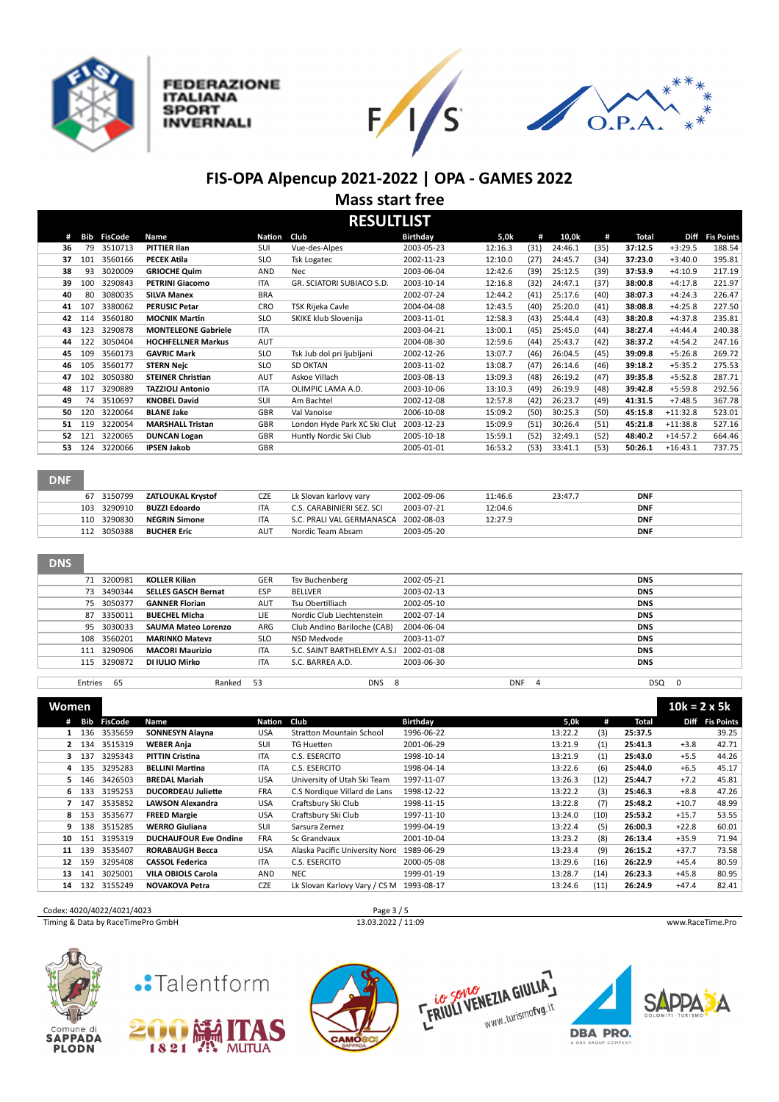

**ITALIANA** 

**INVERNALI** 

**SPORT** 







## **FIS-OPA Alpencup 2021-2022 | OPA - GAMES 2022 Mass start free**

**RESULTI ICT** 

|    | NLJULI LIJI |                |                            |               |                              |                 |         |      |         |      |         |             |                   |
|----|-------------|----------------|----------------------------|---------------|------------------------------|-----------------|---------|------|---------|------|---------|-------------|-------------------|
| #  | <b>Bib</b>  | <b>FisCode</b> | Name                       | <b>Nation</b> | Club                         | <b>Birthdav</b> | 5,0k    | #    | 10,0k   | #    | Total   | <b>Diff</b> | <b>Fis Points</b> |
| 36 | 79          | 3510713        | <b>PITTIER Ilan</b>        | SUI           | Vue-des-Alpes                | 2003-05-23      | 12:16.3 | (31) | 24:46.1 | (35) | 37:12.5 | $+3:29.5$   | 188.54            |
| 37 | 101         | 3560166        | <b>PECEK Atila</b>         | <b>SLO</b>    | <b>Tsk Logatec</b>           | 2002-11-23      | 12:10.0 | (27) | 24:45.7 | (34) | 37:23.0 | $+3:40.0$   | 195.81            |
| 38 | 93          | 3020009        | <b>GRIOCHE Quim</b>        | AND           | <b>Nec</b>                   | 2003-06-04      | 12:42.6 | (39) | 25:12.5 | (39) | 37:53.9 | $+4:10.9$   | 217.19            |
| 39 | 100         | 3290843        | <b>PETRINI Giacomo</b>     | <b>ITA</b>    | GR. SCIATORI SUBIACO S.D.    | 2003-10-14      | 12:16.8 | (32) | 24:47.1 | (37) | 38:00.8 | $+4:17.8$   | 221.97            |
| 40 | 80          | 3080035        | <b>SILVA Manex</b>         | <b>BRA</b>    |                              | 2002-07-24      | 12:44.2 | (41) | 25:17.6 | (40) | 38:07.3 | $+4:24.3$   | 226.47            |
| 41 | 107         | 3380062        | <b>PERUSIC Petar</b>       | CRO           | TSK Rijeka Cavle             | 2004-04-08      | 12:43.5 | (40) | 25:20.0 | (41) | 38:08.8 | $+4:25.8$   | 227.50            |
| 42 | 114         | 3560180        | <b>MOCNIK Martin</b>       | <b>SLO</b>    | SKIKE klub Slovenija         | 2003-11-01      | 12:58.3 | (43) | 25:44.4 | (43) | 38:20.8 | $+4:37.8$   | 235.81            |
| 43 | 123         | 3290878        | <b>MONTELEONE Gabriele</b> | <b>ITA</b>    |                              | 2003-04-21      | 13:00.1 | (45) | 25:45.0 | (44) | 38:27.4 | $+4:44.4$   | 240.38            |
| 44 | 122         | 3050404        | <b>HOCHFELLNER Markus</b>  | AUT           |                              | 2004-08-30      | 12:59.6 | (44) | 25:43.7 | (42) | 38:37.2 | $+4:54.2$   | 247.16            |
| 45 | 109         | 3560173        | <b>GAVRIC Mark</b>         | <b>SLO</b>    | Tsk Jub dol pri ljubljani    | 2002-12-26      | 13:07.7 | (46) | 26:04.5 | (45) | 39:09.8 | $+5:26.8$   | 269.72            |
| 46 | 105         | 3560177        | <b>STERN Nejc</b>          | <b>SLO</b>    | <b>SD OKTAN</b>              | 2003-11-02      | 13:08.7 | (47) | 26:14.6 | (46) | 39:18.2 | $+5:35.2$   | 275.53            |
| 47 | 102         | 3050380        | <b>STEINER Christian</b>   | AUT           | Askoe Villach                | 2003-08-13      | 13:09.3 | (48) | 26:19.2 | (47) | 39:35.8 | $+5:52.8$   | 287.71            |
| 48 | 117         | 3290889        | <b>TAZZIOLI Antonio</b>    | <b>ITA</b>    | OLIMPIC LAMA A.D.            | 2003-10-06      | 13:10.3 | (49) | 26:19.9 | (48) | 39:42.8 | $+5:59.8$   | 292.56            |
| 49 | 74          | 3510697        | <b>KNOBEL David</b>        | SUI           | Am Bachtel                   | 2002-12-08      | 12:57.8 | (42) | 26:23.7 | (49) | 41:31.5 | $+7:48.5$   | 367.78            |
| 50 | 120         | 3220064        | <b>BLANE Jake</b>          | <b>GBR</b>    | Val Vanoise                  | 2006-10-08      | 15:09.2 | (50) | 30:25.3 | (50) | 45:15.8 | $+11:32.8$  | 523.01            |
| 51 | 119         | 3220054        | <b>MARSHALL Tristan</b>    | GBR           | London Hyde Park XC Ski Clut | 2003-12-23      | 15:09.9 | (51) | 30:26.4 | (51) | 45:21.8 | $+11:38.8$  | 527.16            |
| 52 | 121         | 3220065        | <b>DUNCAN Logan</b>        | <b>GBR</b>    | Huntly Nordic Ski Club       | 2005-10-18      | 15:59.1 | (52) | 32:49.1 | (52) | 48:40.2 | $+14:57.2$  | 664.46            |
| 53 | 124         | 3220066        | <b>IPSEN Jakob</b>         | <b>GBR</b>    |                              | 2005-01-01      | 16:53.2 | (53) | 33:41.1 | (53) | 50:26.1 | $+16:43.1$  | 737.75            |
|    |             |                |                            |               |                              |                 |         |      |         |      |         |             |                   |

### **DNF**

|     | 67 3150799  | <b>ZATLOUKAL Krystof</b> | CZE             | Lk Slovan karlovy vary    | 2002-09-06 | 11:46.6 | 23:47.7 | <b>DNF</b> |
|-----|-------------|--------------------------|-----------------|---------------------------|------------|---------|---------|------------|
| 103 | 3290910     | <b>BUZZI Edoardo</b>     | <b>ITA</b>      | C.S. CARABINIERI SEZ. SCI | 2003-07-21 | 12:04.6 |         | <b>DNF</b> |
|     | 110 3290830 | <b>NEGRIN Simone</b>     | ITA             | S.C. PRALI VAL GERMANASCA | 2002-08-03 | 12:27.9 |         | <b>DNF</b> |
| 112 | 3050388     | <b>BUCHER Eric</b>       | AU <sup>7</sup> | Nordic Team Absam         | 2003-05-20 |         |         | <b>DNF</b> |

### DNS

|         | 71 3200981  | <b>KOLLER Kilian</b>       | GER        | Tsv Buchenberg                         | 2002-05-21 |            | <b>DNS</b> |  |
|---------|-------------|----------------------------|------------|----------------------------------------|------------|------------|------------|--|
|         | 73 3490344  | <b>SELLES GASCH Bernat</b> | <b>ESP</b> | BELLVER                                | 2003-02-13 |            | <b>DNS</b> |  |
|         | 75 3050377  | <b>GANNER Florian</b>      | AUT        | Tsu Obertilliach                       | 2002-05-10 |            | <b>DNS</b> |  |
|         | 87 3350011  | <b>BUECHEL Micha</b>       | LIE        | Nordic Club Liechtenstein              | 2002-07-14 |            | <b>DNS</b> |  |
|         | 95 3030033  | <b>SAUMA Mateo Lorenzo</b> | ARG        | Club Andino Bariloche (CAB)            | 2004-06-04 |            | <b>DNS</b> |  |
|         | 108 3560201 | <b>MARINKO Matevz</b>      | <b>SLO</b> | NSD Medvode                            | 2003-11-07 |            | <b>DNS</b> |  |
|         | 111 3290906 | <b>MACORI Maurizio</b>     | <b>ITA</b> | S.C. SAINT BARTHELEMY A.S.I 2002-01-08 |            |            | <b>DNS</b> |  |
|         | 115 3290872 | DI IULIO Mirko             | <b>ITA</b> | S.C. BARREA A.D.                       | 2003-06-30 |            | <b>DNS</b> |  |
|         |             |                            |            |                                        |            |            |            |  |
| Entries | 65          | Ranked                     | 53         | DNS                                    | 8          | <b>DNF</b> | DSQ        |  |

| <b>Women</b> |                |         |                              |            |                                 |                 |         |      |         | $10k = 2 \times 5k$ |                   |
|--------------|----------------|---------|------------------------------|------------|---------------------------------|-----------------|---------|------|---------|---------------------|-------------------|
| #            | Bib<br>FisCode |         | Name                         | Nation     | Club                            | <b>Birthday</b> | 5,0k    | #    | Total   | Diff                | <b>Fis Points</b> |
|              | 136<br>3535659 |         | <b>SONNESYN Alayna</b>       | USA        | <b>Stratton Mountain School</b> | 1996-06-22      | 13:22.2 | (3)  | 25:37.5 |                     | 39.25             |
| $\mathbf{2}$ | 3515319<br>134 |         | <b>WEBER Anja</b>            | SUI        | TG Huetten                      | 2001-06-29      | 13:21.9 | (1)  | 25:41.3 | $+3.8$              | 42.71             |
| 3 137        | 3295343        |         | <b>PITTIN Cristina</b>       | <b>ITA</b> | C.S. ESERCITO                   | 1998-10-14      | 13:21.9 | (1)  | 25:43.0 | $+5.5$              | 44.26             |
| 4            | 3295283<br>135 |         | <b>BELLINI Martina</b>       | <b>ITA</b> | C.S. ESERCITO                   | 1998-04-14      | 13:22.6 | (6)  | 25:44.0 | $+6.5$              | 45.17             |
| 5.           | 3426503<br>146 |         | <b>BREDAL Mariah</b>         | <b>USA</b> | University of Utah Ski Team     | 1997-11-07      | 13:26.3 | (12) | 25:44.7 | $+7.2$              | 45.81             |
| 6.           | 3195253<br>133 |         | <b>DUCORDEAU Juliette</b>    | <b>FRA</b> | C.S Nordique Villard de Lans    | 1998-12-22      | 13:22.2 | (3)  | 25:46.3 | $+8.8$              | 47.26             |
|              | 3535852<br>147 |         | <b>LAWSON Alexandra</b>      | <b>USA</b> | Craftsbury Ski Club             | 1998-11-15      | 13:22.8 | (7)  | 25:48.2 | $+10.7$             | 48.99             |
| 8 153        | 3535677        |         | <b>FREED Margie</b>          | <b>USA</b> | Craftsbury Ski Club             | 1997-11-10      | 13:24.0 | (10) | 25:53.2 | $+15.7$             | 53.55             |
| 9            | 138            | 3515285 | <b>WERRO Giuliana</b>        | <b>SUI</b> | Sarsura Zernez                  | 1999-04-19      | 13:22.4 | (5)  | 26:00.3 | $+22.8$             | 60.01             |
| 10           | 3195319<br>151 |         | <b>DUCHAUFOUR Eve Ondine</b> | <b>FRA</b> | Sc Grandyaux                    | 2001-10-04      | 13:23.2 | (8)  | 26:13.4 | $+35.9$             | 71.94             |
| 11           | 3535407<br>139 |         | <b>RORABAUGH Becca</b>       | USA        | Alaska Pacific University Nord  | 1989-06-29      | 13:23.4 | (9)  | 26:15.2 | $+37.7$             | 73.58             |
| 12           | 3295408<br>159 |         | <b>CASSOL Federica</b>       | <b>ITA</b> | C.S. ESERCITO                   | 2000-05-08      | 13:29.6 | (16) | 26:22.9 | $+45.4$             | 80.59             |
| 13           | 3025001<br>141 |         | <b>VILA OBIOLS Carola</b>    | AND        | <b>NEC</b>                      | 1999-01-19      | 13:28.7 | (14) | 26:23.3 | $+45.8$             | 80.95             |
| 14           | 3155249<br>132 |         | <b>NOVAKOVA Petra</b>        | <b>CZE</b> | Lk Slovan Karlovy Vary / CS M   | 1993-08-17      | 13:24.6 | (11) | 26:24.9 | $+47.4$             | 82.41             |





# .Talentform







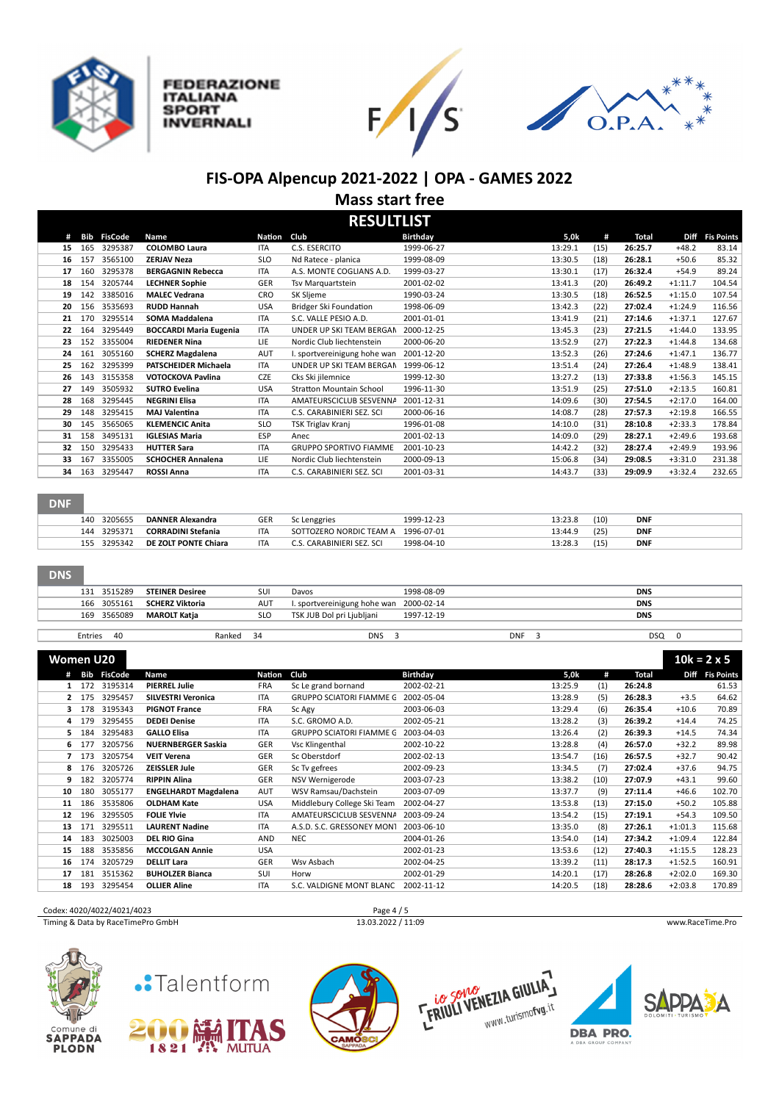

**FEDERAZIONE ITALIANA** 

**SPORT** 

**INVERNALI** 





## **FIS-OPA Alpencup 2021-2022 | OPA - GAMES 2022 Mass start free**

**RESULTLICT** 

|    | KESULI LIS I |                |                               |               |                                 |            |         |      |         |           |                   |  |  |
|----|--------------|----------------|-------------------------------|---------------|---------------------------------|------------|---------|------|---------|-----------|-------------------|--|--|
| #  | Bib          | <b>FisCode</b> | Name                          | <b>Nation</b> | Club                            | Birthday   | 5,0k    | #    | Total   | Diff      | <b>Fis Points</b> |  |  |
| 15 | 165          | 3295387        | <b>COLOMBO Laura</b>          | <b>ITA</b>    | C.S. ESERCITO                   | 1999-06-27 | 13:29.1 | (15) | 26:25.7 | $+48.2$   | 83.14             |  |  |
| 16 | 157          | 3565100        | <b>ZERJAV Neza</b>            | <b>SLO</b>    | Nd Ratece - planica             | 1999-08-09 | 13:30.5 | (18) | 26:28.1 | $+50.6$   | 85.32             |  |  |
| 17 | 160          | 3295378        | <b>BERGAGNIN Rebecca</b>      | <b>ITA</b>    | A.S. MONTE COGLIANS A.D.        | 1999-03-27 | 13:30.1 | (17) | 26:32.4 | $+54.9$   | 89.24             |  |  |
| 18 | 154          | 3205744        | <b>LECHNER Sophie</b>         | <b>GER</b>    | Tsv Marguartstein               | 2001-02-02 | 13:41.3 | (20) | 26:49.2 | $+1:11.7$ | 104.54            |  |  |
| 19 | 142          | 3385016        | <b>MALEC Vedrana</b>          | CRO           | SK Sljeme                       | 1990-03-24 | 13:30.5 | (18) | 26:52.5 | $+1:15.0$ | 107.54            |  |  |
| 20 | 156          | 3535693        | <b>RUDD Hannah</b>            | <b>USA</b>    | Bridger Ski Foundation          | 1998-06-09 | 13:42.3 | (22) | 27:02.4 | $+1:24.9$ | 116.56            |  |  |
| 21 | 170          | 3295514        | SOMA Maddalena                | <b>ITA</b>    | S.C. VALLE PESIO A.D.           | 2001-01-01 | 13:41.9 | (21) | 27:14.6 | $+1:37.1$ | 127.67            |  |  |
| 22 | 164          | 3295449        | <b>BOCCARDI Maria Eugenia</b> | <b>ITA</b>    | UNDER UP SKI TEAM BERGAN        | 2000-12-25 | 13:45.3 | (23) | 27:21.5 | $+1:44.0$ | 133.95            |  |  |
| 23 | 152          | 3355004        | <b>RIEDENER Nina</b>          | LIE.          | Nordic Club liechtenstein       | 2000-06-20 | 13:52.9 | (27) | 27:22.3 | $+1:44.8$ | 134.68            |  |  |
| 24 | 161          | 3055160        | <b>SCHERZ Magdalena</b>       | AUT           | I. sportvereinigung hohe wan    | 2001-12-20 | 13:52.3 | (26) | 27:24.6 | $+1:47.1$ | 136.77            |  |  |
| 25 | 162          | 3295399        | <b>PATSCHEIDER Michaela</b>   | <b>ITA</b>    | UNDER UP SKI TEAM BERGAN        | 1999-06-12 | 13:51.4 | (24) | 27:26.4 | $+1:48.9$ | 138.41            |  |  |
| 26 | 143          | 3155358        | <b>VOTOCKOVA Pavlina</b>      | <b>CZE</b>    | Cks Ski jilemnice               | 1999-12-30 | 13:27.2 | (13) | 27:33.8 | $+1:56.3$ | 145.15            |  |  |
| 27 | 149          | 3505932        | <b>SUTRO Evelina</b>          | <b>USA</b>    | <b>Stratton Mountain School</b> | 1996-11-30 | 13:51.9 | (25) | 27:51.0 | $+2:13.5$ | 160.81            |  |  |
| 28 | 168          | 3295445        | <b>NEGRINI Elisa</b>          | <b>ITA</b>    | AMATEURSCICLUB SESVENNA         | 2001-12-31 | 14:09.6 | (30) | 27:54.5 | $+2:17.0$ | 164.00            |  |  |
| 29 | 148          | 3295415        | <b>MAJ Valentina</b>          | <b>ITA</b>    | C.S. CARABINIERI SEZ. SCI       | 2000-06-16 | 14:08.7 | (28) | 27:57.3 | $+2:19.8$ | 166.55            |  |  |
| 30 | 145          | 3565065        | <b>KLEMENCIC Anita</b>        | <b>SLO</b>    | TSK Triglav Kranj               | 1996-01-08 | 14:10.0 | (31) | 28:10.8 | $+2:33.3$ | 178.84            |  |  |
| 31 | 158          | 3495131        | <b>IGLESIAS Maria</b>         | <b>ESP</b>    | Anec                            | 2001-02-13 | 14:09.0 | (29) | 28:27.1 | $+2:49.6$ | 193.68            |  |  |
| 32 | 150          | 3295433        | <b>HUTTER Sara</b>            | <b>ITA</b>    | <b>GRUPPO SPORTIVO FIAMME</b>   | 2001-10-23 | 14:42.2 | (32) | 28:27.4 | $+2:49.9$ | 193.96            |  |  |
| 33 | 167          | 3355005        | <b>SCHOCHER Annalena</b>      | LIE           | Nordic Club liechtenstein       | 2000-09-13 | 15:06.8 | (34) | 29:08.5 | $+3:31.0$ | 231.38            |  |  |
| 34 | 163          | 3295447        | <b>ROSSI Anna</b>             | <b>ITA</b>    | C.S. CARABINIERI SEZ. SCI       | 2001-03-31 | 14:43.7 | (33) | 29:09.9 | $+3:32.4$ | 232.65            |  |  |
|    |              |                |                               |               |                                 |            |         |      |         |           |                   |  |  |

#### **DNF**

| 3205655<br>140 | DANNER Alexandra          | GER        | Sc Lenggries              | 1999-12-23 | 13:23.8 | (10) | <b>DNF</b> |
|----------------|---------------------------|------------|---------------------------|------------|---------|------|------------|
| 3295371<br>144 | <b>CORRADINI Stefania</b> | <b>ITA</b> | SOTTOZERO NORDIC TEAM A   | 1996-07-01 | 13:44.9 | (25) | <b>DNF</b> |
| 3295342<br>155 | DE ZOLT PONTE Chiara      | <b>ITA</b> | C.S. CARABINIERI SEZ. SCI | 1998-04-10 | 13:28.3 | (15) | <b>DNF</b> |
|                |                           |            |                           |            |         |      |            |

#### **DNS**

| 3515289<br>131 | <b>STEINER Desiree</b> | SUI        | Davos                                   | 1998-08-09 |            | <b>DNS</b> |
|----------------|------------------------|------------|-----------------------------------------|------------|------------|------------|
| 3055161<br>166 | <b>SCHERZ Viktoria</b> | <b>AUT</b> | I. sportvereinigung hohe wan 2000-02-14 |            |            | <b>DNS</b> |
| 3565089<br>169 | <b>MAROLT Katia</b>    | <b>SLO</b> | TSK JUB Dol pri Ljubljani               | 1997-12-19 |            | <b>DNS</b> |
|                |                        |            |                                         |            |            |            |
| 40<br>Entries  | Ranked                 | 34         | DNS                                     |            | <b>DNF</b> | <b>DSQ</b> |

| Women U20      |       |                |                             |            |                                 |            |         |      |         | $10k = 2 \times 5$ |                   |
|----------------|-------|----------------|-----------------------------|------------|---------------------------------|------------|---------|------|---------|--------------------|-------------------|
| #              | Bib   | <b>FisCode</b> | Name                        | Nation     | Club                            | Birthday   | 5,0k    | #    | Total   | <b>Diff</b>        | <b>Fis Points</b> |
| 1              | 172   | 3195314        | <b>PIERREL Julie</b>        | <b>FRA</b> | Sc Le grand bornand             | 2002-02-21 | 13:25.9 | (1)  | 26:24.8 |                    | 61.53             |
| $\mathbf{2}$   | 175   | 3295457        | <b>SILVESTRI Veronica</b>   | <b>ITA</b> | <b>GRUPPO SCIATORI FIAMME G</b> | 2002-05-04 | 13:28.9 | (5)  | 26:28.3 | $+3.5$             | 64.62             |
|                | 3 178 | 3195343        | <b>PIGNOT France</b>        | <b>FRA</b> | Sc Agy                          | 2003-06-03 | 13:29.4 | (6)  | 26:35.4 | $+10.6$            | 70.89             |
|                | 4 179 | 3295455        | <b>DEDEI Denise</b>         | <b>ITA</b> | S.C. GROMO A.D.                 | 2002-05-21 | 13:28.2 | (3)  | 26:39.2 | $+14.4$            | 74.25             |
| 5.             | 184   | 3295483        | <b>GALLO Elisa</b>          | <b>ITA</b> | <b>GRUPPO SCIATORI FIAMME G</b> | 2003-04-03 | 13:26.4 | (2)  | 26:39.3 | $+14.5$            | 74.34             |
| 6              |       | 3205756        | <b>NUERNBERGER Saskia</b>   | GER        | Vsc Klingenthal                 | 2002-10-22 | 13:28.8 | (4)  | 26:57.0 | $+32.2$            | 89.98             |
| $\overline{7}$ | 173   | 3205754        | <b>VEIT Verena</b>          | <b>GER</b> | Sc Oberstdorf                   | 2002-02-13 | 13:54.7 | (16) | 26:57.5 | $+32.7$            | 90.42             |
|                | 8 176 | 3205726        | <b>ZEISSLER Jule</b>        | GER        | Sc Tv gefrees                   | 2002-09-23 | 13:34.5 | (7)  | 27:02.4 | $+37.6$            | 94.75             |
| 9              | 182   | 3205774        | <b>RIPPIN Alina</b>         | GER        | NSV Wernigerode                 | 2003-07-23 | 13:38.2 | (10) | 27:07.9 | $+43.1$            | 99.60             |
| 10             | 180   | 3055177        | <b>ENGELHARDT Magdalena</b> | AUT        | WSV Ramsau/Dachstein            | 2003-07-09 | 13:37.7 | (9)  | 27:11.4 | $+46.6$            | 102.70            |
| 11             | 186   | 3535806        | <b>OLDHAM Kate</b>          | <b>USA</b> | Middlebury College Ski Team     | 2002-04-27 | 13:53.8 | (13) | 27:15.0 | $+50.2$            | 105.88            |
| 12             | 196   | 3295505        | <b>FOLIE Ylvie</b>          | <b>ITA</b> | AMATEURSCICLUB SESVENNA         | 2003-09-24 | 13:54.2 | (15) | 27:19.1 | $+54.3$            | 109.50            |
| 13             | 171   | 3295511        | <b>LAURENT Nadine</b>       | <b>ITA</b> | A.S.D. S.C. GRESSONEY MONT      | 2003-06-10 | 13:35.0 | (8)  | 27:26.1 | $+1:01.3$          | 115.68            |
| 14             | 183   | 3025003        | <b>DEL RIO Gina</b>         | AND        | <b>NEC</b>                      | 2004-01-26 | 13:54.0 | (14) | 27:34.2 | $+1:09.4$          | 122.84            |
| 15             | 188   | 3535856        | <b>MCCOLGAN Annie</b>       | <b>USA</b> |                                 | 2002-01-23 | 13:53.6 | (12) | 27:40.3 | $+1:15.5$          | 128.23            |
| 16             | 174   | 3205729        | <b>DELLIT Lara</b>          | GER        | Wsv Asbach                      | 2002-04-25 | 13:39.2 | (11) | 28:17.3 | $+1:52.5$          | 160.91            |
| 17             | 181   | 3515362        | <b>BUHOLZER Bianca</b>      | <b>SUI</b> | Horw                            | 2002-01-29 | 14:20.1 | (17) | 28:26.8 | $+2:02.0$          | 169.30            |
| 18             | 193   | 3295454        | <b>OLLIER Aline</b>         | <b>ITA</b> | S.C. VALDIGNE MONT BLANC        | 2002-11-12 | 14:20.5 | (18) | 28:28.6 | $+2:03.8$          | 170.89            |





# .Talentform